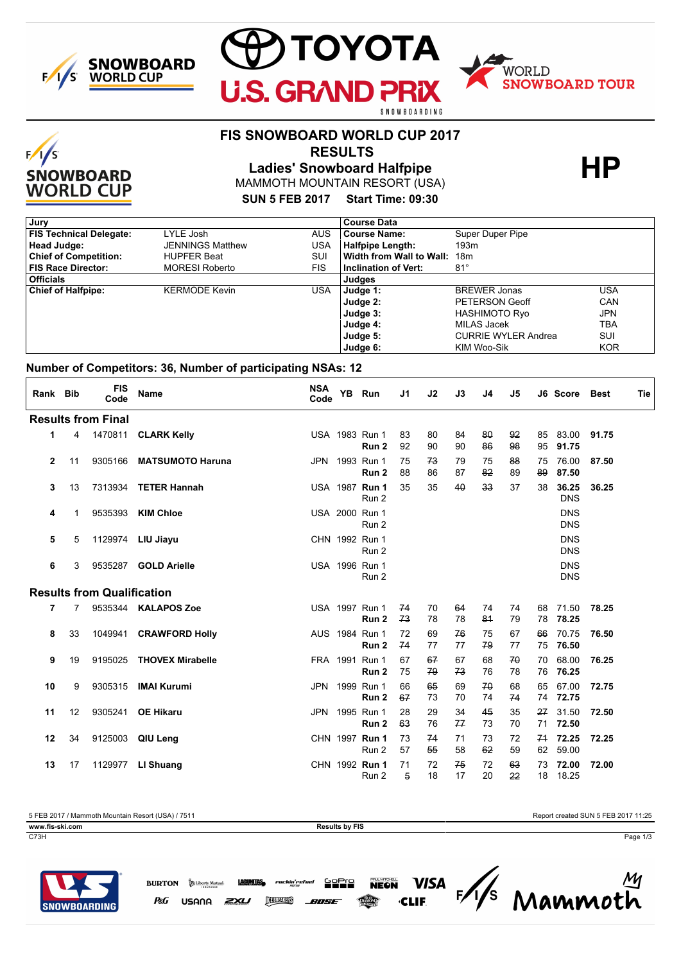

 $F/I/S$ 

**SNOWBOARD WORLD CUP** 



# **FIS SNOWBOARD WORLD CUP 2017**

 **RESULTS**

MAMMOTH MOUNTAIN RESORT (USA) Ladies' Snowboard Halfpipe **HP** 

**SUN 5 FEB 2017 Start Time: 09:30**

| Jury                           |                         |            | <b>Course Data</b>          |                            |            |
|--------------------------------|-------------------------|------------|-----------------------------|----------------------------|------------|
| <b>FIS Technical Delegate:</b> | LYLE Josh               | <b>AUS</b> | <b>Course Name:</b>         | Super Duper Pipe           |            |
| Head Judge:                    | <b>JENNINGS Matthew</b> | USA        | <b>Halfpipe Length:</b>     | 193m                       |            |
| <b>Chief of Competition:</b>   | <b>HUPFER Beat</b>      | SUI        | Width from Wall to Wall:    | 18m                        |            |
| <b>FIS Race Director:</b>      | <b>MORESI Roberto</b>   | FIS        | <b>Inclination of Vert:</b> | $81^\circ$                 |            |
| <b>Officials</b>               |                         |            | Judges                      |                            |            |
| <b>Chief of Halfpipe:</b>      | <b>KERMODE Kevin</b>    | USA        | Judge 1:                    | <b>BREWER Jonas</b>        | USA        |
|                                |                         |            | Judge 2:                    | PETERSON Geoff             | CAN        |
|                                |                         |            | Judge 3:                    | HASHIMOTO Ryo              | JPN        |
|                                |                         |            | Judge 4:                    | MILAS Jacek                | TBA        |
|                                |                         |            | Judge 5:                    | <b>CURRIE WYLER Andrea</b> | SUI        |
|                                |                         |            | Judge 6:                    | KIM Woo-Sik                | <b>KOR</b> |

#### **Number of Competitors: 36, Number of participating NSAs: 12**

| Rank Bib     |    | <b>FIS</b><br>Code                | Name                    | <b>NSA</b><br>Code | <b>YB</b> | Run                     | J1       | J2       | J3       | J <sub>4</sub> | J5       |          | J6 Score                 | Best  | Tie |
|--------------|----|-----------------------------------|-------------------------|--------------------|-----------|-------------------------|----------|----------|----------|----------------|----------|----------|--------------------------|-------|-----|
|              |    | <b>Results from Final</b>         |                         |                    |           |                         |          |          |          |                |          |          |                          |       |     |
| 1            | 4  |                                   | 1470811 CLARK Kelly     |                    |           | USA 1983 Run 1<br>Run 2 | 83<br>92 | 80<br>90 | 84<br>90 | 80<br>86       | 92<br>98 | 85<br>95 | 83.00 91.75<br>91.75     |       |     |
| $\mathbf{2}$ | 11 | 9305166                           | <b>MATSUMOTO Haruna</b> |                    |           | JPN 1993 Run 1<br>Run 2 | 75<br>88 | 73<br>86 | 79<br>87 | 75<br>82       | 88<br>89 | 75<br>89 | 76.00<br>87.50           | 87.50 |     |
| 3            | 13 | 7313934                           | <b>TETER Hannah</b>     |                    |           | USA 1987 Run 1<br>Run 2 | 35       | 35       | 40       | 33             | 37       | 38       | 36.25<br><b>DNS</b>      | 36.25 |     |
| 4            | 1  | 9535393                           | <b>KIM Chloe</b>        |                    |           | USA 2000 Run 1<br>Run 2 |          |          |          |                |          |          | <b>DNS</b><br><b>DNS</b> |       |     |
| 5            | 5  |                                   | 1129974 LIU Jiayu       |                    |           | CHN 1992 Run 1<br>Run 2 |          |          |          |                |          |          | <b>DNS</b><br><b>DNS</b> |       |     |
| 6            | 3  | 9535287                           | <b>GOLD Arielle</b>     |                    |           | USA 1996 Run 1<br>Run 2 |          |          |          |                |          |          | <b>DNS</b><br><b>DNS</b> |       |     |
|              |    | <b>Results from Qualification</b> |                         |                    |           |                         |          |          |          |                |          |          |                          |       |     |
| 7            | 7  |                                   | 9535344 KALAPOS Zoe     |                    |           | USA 1997 Run 1<br>Run 2 | 74<br>73 | 70<br>78 | 64<br>78 | 74<br>81       | 74<br>79 | 68<br>78 | 71.50<br>78.25           | 78.25 |     |
| 8            | 33 |                                   | 1049941 CRAWFORD Holly  |                    |           | AUS 1984 Run 1<br>Run 2 | 72<br>74 | 69<br>77 | 76<br>77 | 75<br>79       | 67<br>77 | 66<br>75 | 70.75<br>76.50           | 76.50 |     |
| 9            | 19 | 9195025                           | <b>THOVEX Mirabelle</b> |                    |           | FRA 1991 Run 1<br>Run 2 | 67<br>75 | 67<br>79 | 67<br>73 | 68<br>76       | 70<br>78 | 70<br>76 | 68.00<br>76.25           | 76.25 |     |
| 10           | 9  | 9305315                           | <b>IMAI Kurumi</b>      |                    |           | JPN 1999 Run 1<br>Run 2 | 66<br>67 | 65<br>73 | 69<br>70 | 70<br>74       | 68<br>74 | 65       | 67.00<br>74 72.75        | 72.75 |     |
| 11           | 12 | 9305241                           | <b>OE Hikaru</b>        | JPN                |           | 1995 Run 1<br>Run 2     | 28<br>63 | 29<br>76 | 34<br>77 | 45<br>73       | 35<br>70 | 27<br>71 | 31.50<br>72.50           | 72.50 |     |
| 12           | 34 |                                   | 9125003 QIU Leng        |                    |           | CHN 1997 Run 1<br>Run 2 | 73<br>57 | 74<br>55 | 71<br>58 | 73<br>62       | 72<br>59 | 71<br>62 | 72.25<br>59.00           | 72.25 |     |
| 13           | 17 | 1129977                           | LI Shuang               |                    |           | CHN 1992 Run 1<br>Run 2 | 71<br>5  | 72<br>18 | 75<br>17 | 72<br>20       | 63<br>22 | 73<br>18 | 72.00<br>18.25           | 72.00 |     |

5 FEB 2017 / Mammoth Mountain Resort (USA) / 7511 Report created SUN 5 FEB 2017 11:25

**www.fis-ski.com Results by FIS** 

C73H Page 1/3



Mammoth **LAGUNTIAS, rockin'refuel Sepre VISA BEREAKERS** P&G USANA ZXU BOSE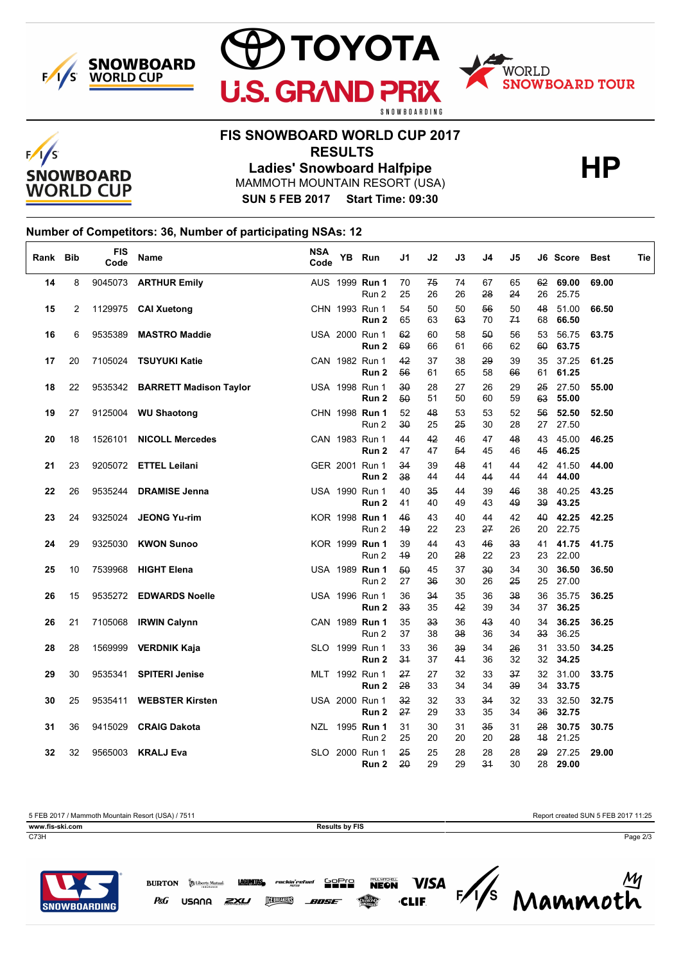





# **FIS SNOWBOARD WORLD CUP 2017**

 **RESULTS**

MAMMOTH MOUNTAIN RESORT (USA) Ladies' Snowboard Halfpipe **HP** 

**SUN 5 FEB 2017 Start Time: 09:30**

## **Number of Competitors: 36, Number of participating NSAs: 12**

| Rank Bib |    | <b>FIS</b><br>Code | <b>Name</b>                    | <b>NSA</b><br>Code | YB Run                             | J1       | J2       | J3       | J4       | J5                    |          | J6 Score          | Best  | Tie |
|----------|----|--------------------|--------------------------------|--------------------|------------------------------------|----------|----------|----------|----------|-----------------------|----------|-------------------|-------|-----|
| 14       | 8  |                    | 9045073 ARTHUR Emily           |                    | AUS 1999 Run 1<br>Run 2            | 70<br>25 | 75<br>26 | 74<br>26 | 67<br>28 | 65<br>24              | 26       | 62 69.00<br>25.75 | 69.00 |     |
| 15       | 2  |                    | 1129975 CAI Xuetong            |                    | CHN 1993 Run 1<br>Run 2            | 54<br>65 | 50<br>63 | 50<br>63 | 56<br>70 | 50<br>74              | 48<br>68 | 51.00<br>66.50    | 66.50 |     |
| 16       | 6  | 9535389            | <b>MASTRO Maddie</b>           |                    | USA 2000 Run 1<br>Run 2            | 62<br>69 | 60<br>66 | 58<br>61 | 50<br>66 | 56<br>62              | 53<br>60 | 56.75<br>63.75    | 63.75 |     |
| 17       | 20 |                    | 7105024 TSUYUKI Katie          |                    | CAN 1982 Run 1<br>Run 2            | 42<br>56 | 37<br>61 | 38<br>65 | 29<br>58 | 39<br>66              | 35<br>61 | 37.25<br>61.25    | 61.25 |     |
| 18       | 22 |                    | 9535342 BARRETT Madison Taylor |                    | USA 1998 Run 1<br>Run <sub>2</sub> | 30<br>50 | 28<br>51 | 27<br>50 | 26<br>60 | 29<br>59              | 25<br>63 | 27.50<br>55.00    | 55.00 |     |
| 19       | 27 |                    | 9125004 WU Shaotong            |                    | CHN 1998 Run 1<br>Run 2            | 52<br>30 | 48<br>25 | 53<br>25 | 53<br>30 | 52<br>28              | 56<br>27 | 52.50<br>27.50    | 52.50 |     |
| 20       | 18 |                    | 1526101 NICOLL Mercedes        |                    | CAN 1983 Run 1<br>Run 2            | 44<br>47 | 42<br>47 | 46<br>54 | 47<br>45 | 48<br>46              | 43<br>45 | 45.00<br>46.25    | 46.25 |     |
| 21       | 23 |                    | 9205072 ETTEL Leilani          |                    | GER 2001 Run 1<br>Run 2            | 34<br>38 | 39<br>44 | 48<br>44 | 41<br>44 | 44<br>44              | 42<br>44 | 41.50<br>44.00    | 44.00 |     |
| 22       | 26 |                    | 9535244 DRAMISE Jenna          |                    | USA 1990 Run 1<br>Run 2            | 40<br>41 | 35<br>40 | 44<br>49 | 39<br>43 | 46<br>49              | 38<br>39 | 40.25<br>43.25    | 43.25 |     |
| 23       | 24 | 9325024            | <b>JEONG Yu-rim</b>            |                    | KOR 1998 Run 1<br>Run 2            | 46<br>49 | 43<br>22 | 40<br>23 | 44<br>27 | 42<br>26              | 40<br>20 | 42.25<br>22.75    | 42.25 |     |
| 24       | 29 | 9325030            | <b>KWON Sunoo</b>              |                    | KOR 1999 Run 1<br>Run 2            | 39<br>49 | 44<br>20 | 43<br>28 | 46<br>22 | 33 <sub>3</sub><br>23 | 41<br>23 | 41.75<br>22.00    | 41.75 |     |
| 25       | 10 | 7539968            | <b>HIGHT Elena</b>             |                    | USA 1989 Run 1<br>Run 2            | 50<br>27 | 45<br>36 | 37<br>30 | 30<br>26 | 34<br>25              | 30<br>25 | 36.50<br>27.00    | 36.50 |     |
| 26       | 15 |                    | 9535272 EDWARDS Noelle         |                    | USA 1996 Run 1<br>Run <sub>2</sub> | 36<br>33 | 34<br>35 | 35<br>42 | 36<br>39 | 38<br>34              | 36<br>37 | 35.75<br>36.25    | 36.25 |     |
| 26       | 21 |                    | 7105068 IRWIN Calynn           |                    | CAN 1989 Run 1<br>Run 2            | 35<br>37 | 33<br>38 | 36<br>38 | 43<br>36 | 40<br>34              | 34<br>33 | 36.25<br>36.25    | 36.25 |     |
| 28       | 28 |                    | 1569999 VERDNIK Kaja           |                    | SLO 1999 Run 1<br>Run <sub>2</sub> | 33<br>34 | 36<br>37 | 39<br>44 | 34<br>36 | 26<br>32              | 31<br>32 | 33.50<br>34.25    | 34.25 |     |
| 29       | 30 | 9535341            | <b>SPITERI Jenise</b>          |                    | MLT 1992 Run 1<br>Run 2            | 27<br>28 | 27<br>33 | 32<br>34 | 33<br>34 | 37<br>39              | 32<br>34 | 31.00<br>33.75    | 33.75 |     |
| 30       | 25 |                    | 9535411 WEBSTER Kirsten        |                    | USA 2000 Run 1<br>Run 2            | 32<br>27 | 32<br>29 | 33<br>33 | 34<br>35 | 32<br>34              | 33<br>36 | 32.50<br>32.75    | 32.75 |     |
| 31       | 36 |                    | 9415029 CRAIG Dakota           |                    | NZL 1995 Run 1<br>Run 2            | 31<br>25 | 30<br>20 | 31<br>20 | 35<br>20 | 31<br>28              | 28<br>48 | 30.75<br>21.25    | 30.75 |     |
| 32       | 32 |                    | 9565003 KRALJ Eva              |                    | SLO 2000 Run 1<br>Run 2            | 25<br>20 | 25<br>29 | 28<br>29 | 28<br>34 | 28<br>30              | 29<br>28 | 27.25<br>29.00    | 29.00 |     |

5 FEB 2017 / Mammoth Mountain Resort (USA) / 7511 Report created SUN 5 FEB 2017 11:25

P&G

**www.fis-ski.com Results by FIS** 

C73H Page 2/3



Mammoth **BURTON S** Liberty Mutual **LAGUNTAS** rockin'r **Sepre VISA**  $\frac{1}{s}$ **CLEREAKERS** ZXU USANA *ANSE*